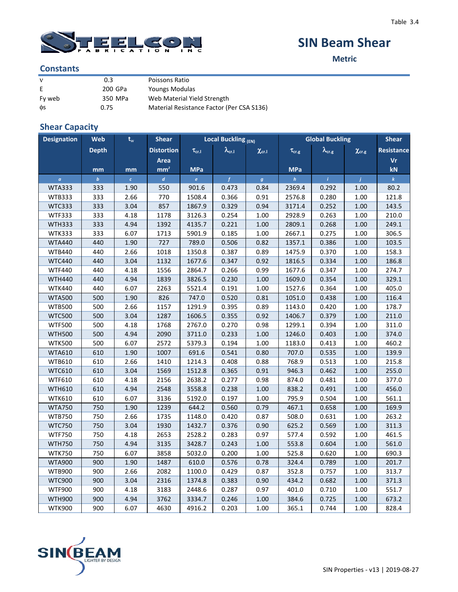

# **SIN Beam Shear**

**Metric**

### **Constants**

| $\mathbf{v}$ | 0.3     | Poissons Ratio                            |
|--------------|---------|-------------------------------------------|
| E            | 200 GPa | Youngs Modulas                            |
| Fy web       | 350 MPa | Web Material Yield Strength               |
| фs           | 0.75    | Material Resistance Factor (Per CSA S136) |

### **Shear Capacity**

| <b>Designation</b> | Web              | $\mathbf{t}_\mathrm{w}$ | <b>Shear</b>      | <b>Local Buckling (EN)</b> |                      | <b>Global Buckling</b> | <b>Shear</b>      |                      |                   |                   |
|--------------------|------------------|-------------------------|-------------------|----------------------------|----------------------|------------------------|-------------------|----------------------|-------------------|-------------------|
|                    | <b>Depth</b>     |                         | <b>Distortion</b> | $\tau_{\rm cr,I}$          | $\lambda_{\rm cr.I}$ | $\chi_{\rm cr.I}$      | $\tau_{\rm cr.g}$ | $\lambda_{\rm cr.g}$ | $\chi_{\rm cr.g}$ | <b>Resistance</b> |
|                    |                  |                         | <b>Area</b>       |                            |                      |                        |                   |                      |                   | Vr                |
|                    | mm               | mm                      | mm <sup>2</sup>   | <b>MPa</b>                 |                      |                        | <b>MPa</b>        |                      |                   | kN                |
| $\alpha$           | $\boldsymbol{b}$ | $\epsilon^\parallel$    | $\overline{d}$    | $\epsilon$                 | $\overline{f}$       | $\boldsymbol{g}$       | $\boldsymbol{h}$  | $\hat{I}$            | $\overline{I}$    | $\boldsymbol{k}$  |
| <b>WTA333</b>      | 333              | 1.90                    | 550               | 901.6                      | 0.473                | 0.84                   | 2369.4            | 0.292                | 1.00              | 80.2              |
| <b>WTB333</b>      | 333              | 2.66                    | 770               | 1508.4                     | 0.366                | 0.91                   | 2576.8            | 0.280                | 1.00              | 121.8             |
| <b>WTC333</b>      | 333              | 3.04                    | 857               | 1867.9                     | 0.329                | 0.94                   | 3171.4            | 0.252                | 1.00              | 143.5             |
| <b>WTF333</b>      | 333              | 4.18                    | 1178              | 3126.3                     | 0.254                | 1.00                   | 2928.9            | 0.263                | 1.00              | 210.0             |
| <b>WTH333</b>      | 333              | 4.94                    | 1392              | 4135.7                     | 0.221                | 1.00                   | 2809.1            | 0.268                | 1.00              | 249.1             |
| <b>WTK333</b>      | 333              | 6.07                    | 1713              | 5901.9                     | 0.185                | 1.00                   | 2667.1            | 0.275                | 1.00              | 306.5             |
| <b>WTA440</b>      | 440              | 1.90                    | 727               | 789.0                      | 0.506                | 0.82                   | 1357.1            | 0.386                | 1.00              | 103.5             |
| <b>WTB440</b>      | 440              | 2.66                    | 1018              | 1350.8                     | 0.387                | 0.89                   | 1475.9            | 0.370                | 1.00              | 158.3             |
| <b>WTC440</b>      | 440              | 3.04                    | 1132              | 1677.6                     | 0.347                | 0.92                   | 1816.5            | 0.334                | 1.00              | 186.8             |
| <b>WTF440</b>      | 440              | 4.18                    | 1556              | 2864.7                     | 0.266                | 0.99                   | 1677.6            | 0.347                | 1.00              | 274.7             |
| <b>WTH440</b>      | 440              | 4.94                    | 1839              | 3826.5                     | 0.230                | 1.00                   | 1609.0            | 0.354                | 1.00              | 329.1             |
| <b>WTK440</b>      | 440              | 6.07                    | 2263              | 5521.4                     | 0.191                | 1.00                   | 1527.6            | 0.364                | 1.00              | 405.0             |
| <b>WTA500</b>      | 500              | 1.90                    | 826               | 747.0                      | 0.520                | 0.81                   | 1051.0            | 0.438                | 1.00              | 116.4             |
| <b>WTB500</b>      | 500              | 2.66                    | 1157              | 1291.9                     | 0.395                | 0.89                   | 1143.0            | 0.420                | 1.00              | 178.7             |
| <b>WTC500</b>      | 500              | 3.04                    | 1287              | 1606.5                     | 0.355                | 0.92                   | 1406.7            | 0.379                | 1.00              | 211.0             |
| <b>WTF500</b>      | 500              | 4.18                    | 1768              | 2767.0                     | 0.270                | 0.98                   | 1299.1            | 0.394                | 1.00              | 311.0             |
| <b>WTH500</b>      | 500              | 4.94                    | 2090              | 3711.0                     | 0.233                | $1.00\,$               | 1246.0            | 0.403                | 1.00              | 374.0             |
| <b>WTK500</b>      | 500              | 6.07                    | 2572              | 5379.3                     | 0.194                | 1.00                   | 1183.0            | 0.413                | 1.00              | 460.2             |
| <b>WTA610</b>      | 610              | 1.90                    | 1007              | 691.6                      | 0.541                | 0.80                   | 707.0             | 0.535                | 1.00              | 139.9             |
| WTB610             | 610              | 2.66                    | 1410              | 1214.3                     | 0.408                | 0.88                   | 768.9             | 0.513                | 1.00              | 215.8             |
| <b>WTC610</b>      | 610              | 3.04                    | 1569              | 1512.8                     | 0.365                | 0.91                   | 946.3             | 0.462                | 1.00              | 255.0             |
| <b>WTF610</b>      | 610              | 4.18                    | 2156              | 2638.2                     | 0.277                | 0.98                   | 874.0             | 0.481                | 1.00              | 377.0             |
| <b>WTH610</b>      | 610              | 4.94                    | 2548              | 3558.8                     | 0.238                | $1.00\,$               | 838.2             | 0.491                | 1.00              | 456.0             |
| <b>WTK610</b>      | 610              | 6.07                    | 3136              | 5192.0                     | 0.197                | 1.00                   | 795.9             | 0.504                | 1.00              | 561.1             |
| <b>WTA750</b>      | 750              | 1.90                    | 1239              | 644.2                      | 0.560                | 0.79                   | 467.1             | 0.658                | 1.00              | 169.9             |
| <b>WTB750</b>      | 750              | 2.66                    | 1735              | 1148.0                     | 0.420                | 0.87                   | 508.0             | 0.631                | 1.00              | 263.2             |
| <b>WTC750</b>      | 750              | 3.04                    | 1930              | 1432.7                     | 0.376                | 0.90                   | 625.2             | 0.569                | 1.00              | 311.3             |
| <b>WTF750</b>      | 750              | 4.18                    | 2653              | 2528.2                     | 0.283                | 0.97                   | 577.4             | 0.592                | 1.00              | 461.5             |
| <b>WTH750</b>      | 750              | 4.94                    | 3135              | 3428.7                     | 0.243                | $1.00\,$               | 553.8             | 0.604                | 1.00              | 561.0             |
| <b>WTK750</b>      | 750              | 6.07                    | 3858              | 5032.0                     | 0.200                | 1.00                   | 525.8             | 0.620                | 1.00              | 690.3             |
| <b>WTA900</b>      | 900              | 1.90                    | 1487              | 610.0                      | 0.576                | 0.78                   | 324.4             | 0.789                | 1.00              | 201.7             |
| <b>WTB900</b>      | 900              | 2.66                    | 2082              | 1100.0                     | 0.429                | 0.87                   | 352.8             | 0.757                | 1.00              | 313.7             |
| <b>WTC900</b>      | 900              | 3.04                    | 2316              | 1374.8                     | 0.383                | 0.90                   | 434.2             | 0.682                | 1.00              | 371.3             |
| <b>WTF900</b>      | 900              | 4.18                    | 3183              | 2448.6                     | 0.287                | 0.97                   | 401.0             | 0.710                | 1.00              | 551.7             |
| <b>WTH900</b>      | 900              | 4.94                    | 3762              | 3334.7                     | 0.246                | $1.00\,$               | 384.6             | 0.725                | 1.00              | 673.2             |
| <b>WTK900</b>      | 900              | 6.07                    | 4630              | 4916.2                     | 0.203                | 1.00                   | 365.1             | 0.744                | 1.00              | 828.4             |